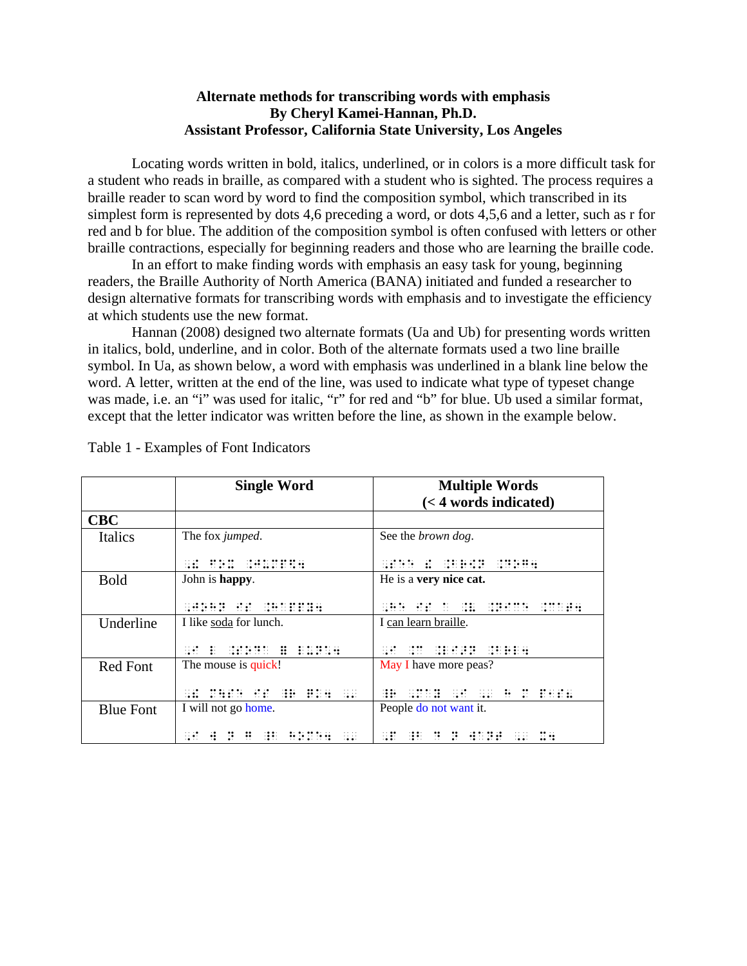## **Alternate methods for transcribing words with emphasis By Cheryl Kamei-Hannan, Ph.D. Assistant Professor, California State University, Los Angeles**

Locating words written in bold, italics, underlined, or in colors is a more difficult task for a student who reads in braille, as compared with a student who is sighted. The process requires a braille reader to scan word by word to find the composition symbol, which transcribed in its simplest form is represented by dots 4,6 preceding a word, or dots 4,5,6 and a letter, such as r for red and b for blue. The addition of the composition symbol is often confused with letters or other braille contractions, especially for beginning readers and those who are learning the braille code.

In an effort to make finding words with emphasis an easy task for young, beginning readers, the Braille Authority of North America (BANA) initiated and funded a researcher to design alternative formats for transcribing words with emphasis and to investigate the efficiency at which students use the new format.

Hannan (2008) designed two alternate formats (Ua and Ub) for presenting words written in italics, bold, underline, and in color. Both of the alternate formats used a two line braille symbol. In Ua, as shown below, a word with emphasis was underlined in a blank line below the word. A letter, written at the end of the line, was used to indicate what type of typeset change was made, i.e. an "i" was used for italic, "r" for red and "b" for blue. Ub used a similar format, except that the letter indicator was written before the line, as shown in the example below.

|                  | <b>Single Word</b>     | <b>Multiple Words</b><br>$(< 4$ words indicated)                                                                                                                                                                               |
|------------------|------------------------|--------------------------------------------------------------------------------------------------------------------------------------------------------------------------------------------------------------------------------|
| <b>CBC</b>       |                        |                                                                                                                                                                                                                                |
| <b>Italics</b>   | The fox jumped.        | See the <i>brown</i> dog.                                                                                                                                                                                                      |
|                  |                        |                                                                                                                                                                                                                                |
| <b>Bold</b>      | John is happy.         | He is a very nice cat.                                                                                                                                                                                                         |
|                  |                        | good (good good (good good)                                                                                                                                                                                                    |
| Underline        | I like soda for lunch. | I can learn braille.                                                                                                                                                                                                           |
|                  |                        |                                                                                                                                                                                                                                |
| <b>Red Font</b>  | The mouse is quick!    | May I have more peas?                                                                                                                                                                                                          |
|                  |                        | 1981 - 1989 - 1989 - 1989 - 1999 - 1999 - 1999 - 1999 - 1999 - 1999 - 1999 - 1999 - 1999 - 1999 - 1999 - 1999<br>1999 - 1999 - 1999 - 1999 - 1999 - 1999 - 1999 - 1999 - 1999 - 1999 - 1999 - 1999 - 1999 - 1999 - 1999 - 1999 |
| <b>Blue Font</b> | I will not go home.    | People do not want it.                                                                                                                                                                                                         |
|                  |                        |                                                                                                                                                                                                                                |

Table 1 - Examples of Font Indicators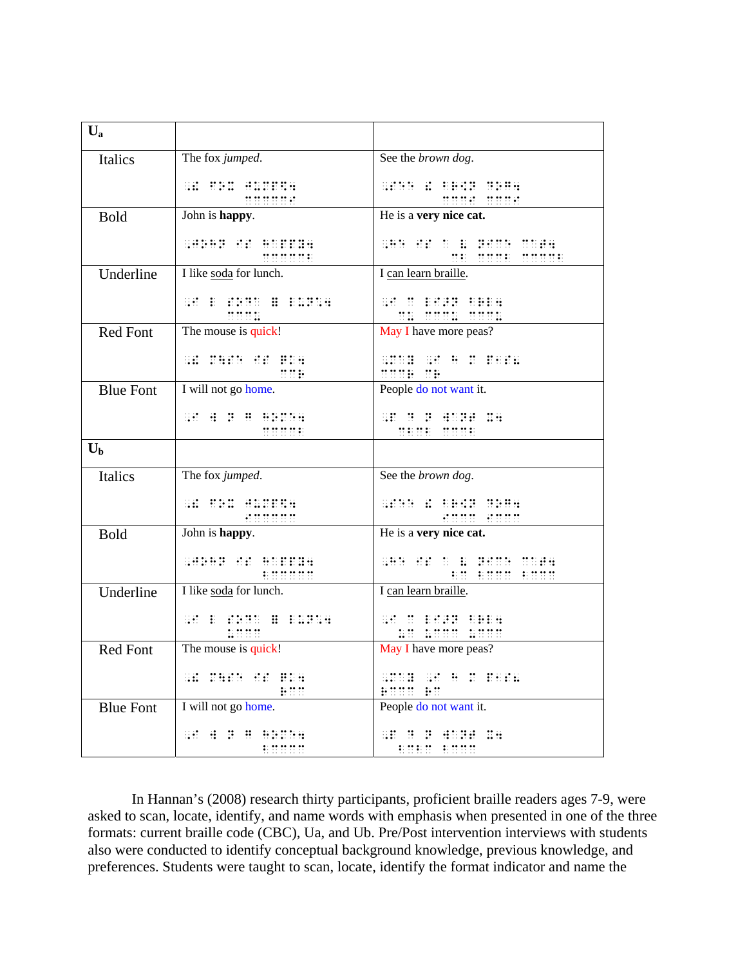| $U_{a}$          |                                                                                                                                                                                              |                                                                                                                                                                                                                                                                                                                                                                                                                                                      |
|------------------|----------------------------------------------------------------------------------------------------------------------------------------------------------------------------------------------|------------------------------------------------------------------------------------------------------------------------------------------------------------------------------------------------------------------------------------------------------------------------------------------------------------------------------------------------------------------------------------------------------------------------------------------------------|
| Italics          | The fox jumped.                                                                                                                                                                              | See the brown dog.                                                                                                                                                                                                                                                                                                                                                                                                                                   |
|                  | <b>SHOW:</b>                                                                                                                                                                                 | $\begin{minipage}{.4\linewidth} \begin{tabular}{l} \hline \textbf{m} & \textbf{m} & \textbf{m} & \textbf{m} & \textbf{m} \\ \hline \textbf{m} & \textbf{m} & \textbf{m} & \textbf{m} & \textbf{m} \\ \hline \textbf{m} & \textbf{m} & \textbf{m} & \textbf{m} & \textbf{m} \\ \hline \textbf{m} & \textbf{m} & \textbf{m} & \textbf{m} & \textbf{m} & \textbf{m} \\ \hline \textbf{m} & \textbf{m} & \textbf{m} & \textbf{m} & \textbf{m} & \textbf$ |
| <b>Bold</b>      | John is happy.                                                                                                                                                                               | He is a very nice cat.                                                                                                                                                                                                                                                                                                                                                                                                                               |
|                  | 111111111111                                                                                                                                                                                 | gitt tip to p print might<br><u> ME MARE MARATE</u>                                                                                                                                                                                                                                                                                                                                                                                                  |
| Underline        | I like soda for lunch.                                                                                                                                                                       | I can learn braille.                                                                                                                                                                                                                                                                                                                                                                                                                                 |
|                  | $\frac{1}{2}$                                                                                                                                                                                | <b>GAL BEER SHIRL</b><br>$\frac{1}{2}$                                                                                                                                                                                                                                                                                                                                                                                                               |
| Red Font         | The mouse is quick!                                                                                                                                                                          | May I have more peas?                                                                                                                                                                                                                                                                                                                                                                                                                                |
|                  | 00 00000 000 0000<br>nne.                                                                                                                                                                    | <b>SHILL SHILL BILLER</b>                                                                                                                                                                                                                                                                                                                                                                                                                            |
| <b>Blue Font</b> | I will not go home.                                                                                                                                                                          | <b>THE THE THE Prople do not want it.</b>                                                                                                                                                                                                                                                                                                                                                                                                            |
|                  | <b>SECTION SECTION</b><br><b>出世共社</b>                                                                                                                                                        | SO S S SSON NA                                                                                                                                                                                                                                                                                                                                                                                                                                       |
| $U_{b}$          |                                                                                                                                                                                              |                                                                                                                                                                                                                                                                                                                                                                                                                                                      |
| <b>Italics</b>   | The fox jumped.                                                                                                                                                                              | See the brown dog.                                                                                                                                                                                                                                                                                                                                                                                                                                   |
|                  |                                                                                                                                                                                              | <b>GENE &amp; BREE UPHR</b><br><b>HUUU HUUU</b>                                                                                                                                                                                                                                                                                                                                                                                                      |
| <b>Bold</b>      | John is happy.                                                                                                                                                                               | He is a very nice cat.                                                                                                                                                                                                                                                                                                                                                                                                                               |
|                  |                                                                                                                                                                                              | SHE HE O B BROK ONER<br><b>ME BOOK BOOK</b>                                                                                                                                                                                                                                                                                                                                                                                                          |
| Underline        | I like soda for lunch.                                                                                                                                                                       | I can learn braille.                                                                                                                                                                                                                                                                                                                                                                                                                                 |
|                  | $\mathcal{L} = \left\{ \begin{array}{ll} \mathcal{L}_1 & \mathcal{L}_2 & \mathcal{L}_3 & \mathcal{L}_4 \\ \mathcal{L}_4 & \mathcal{L}_5 & \mathcal{L}_6 & \mathcal{L}_7 \end{array} \right.$ | an m pepp copa<br><u> 10 maar naan</u>                                                                                                                                                                                                                                                                                                                                                                                                               |
| <b>Red Font</b>  | The mouse is quick!                                                                                                                                                                          | May I have more peas?                                                                                                                                                                                                                                                                                                                                                                                                                                |
|                  | 000 000000 000 00000<br><b>BO</b>                                                                                                                                                            | <b>SOUTH SECTION CONTROL</b><br>BUILD BU                                                                                                                                                                                                                                                                                                                                                                                                             |
| <b>Blue Font</b> | I will not go home.                                                                                                                                                                          | People do not want it.                                                                                                                                                                                                                                                                                                                                                                                                                               |
|                  | 80 8 8 8 8 8 8 8 8 8<br>ennn                                                                                                                                                                 | AN BOROTHE AND<br><b>BUBU BUDU</b>                                                                                                                                                                                                                                                                                                                                                                                                                   |

In Hannan's (2008) research thirty participants, proficient braille readers ages 7-9, were asked to scan, locate, identify, and name words with emphasis when presented in one of the three formats: current braille code (CBC), Ua, and Ub. Pre/Post intervention interviews with students also were conducted to identify conceptual background knowledge, previous knowledge, and preferences. Students were taught to scan, locate, identify the format indicator and name the